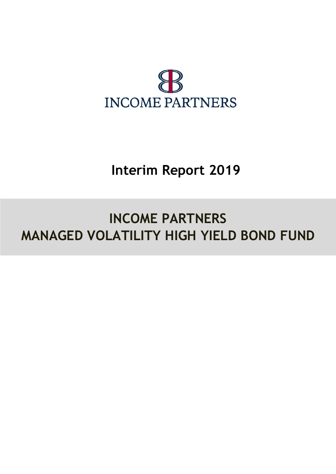

# **Interim Report 2019**

# **INCOME PARTNERS MANAGED VOLATILITY HIGH YIELD BOND FUND**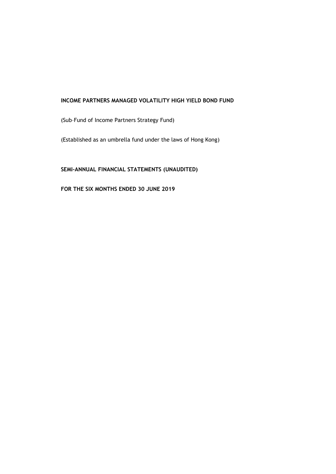(Sub–Fund of Income Partners Strategy Fund)

(Established as an umbrella fund under the laws of Hong Kong)

# **SEMI-ANNUAL FINANCIAL STATEMENTS (UNAUDITED)**

**FOR THE SIX MONTHS ENDED 30 JUNE 2019**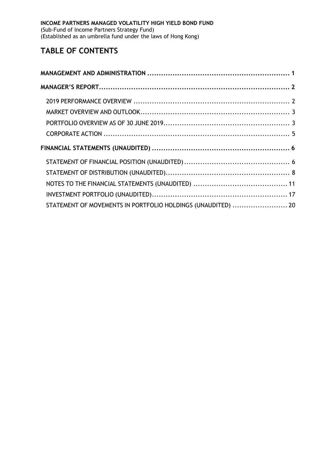# **TABLE OF CONTENTS**

| STATEMENT OF MOVEMENTS IN PORTFOLIO HOLDINGS (UNAUDITED)  20 |  |
|--------------------------------------------------------------|--|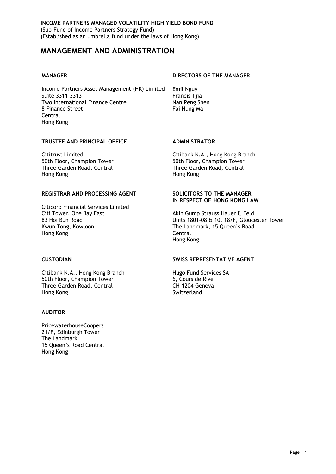# <span id="page-4-0"></span>**MANAGEMENT AND ADMINISTRATION**

Income Partners Asset Management (HK) Limited Emil Nguy Suite 3311-3313<br>Two International Finance Centre **Francis Tyle Republic Tyle Republic Tyle Republic Tyle Republic Tyle Tyle Tyle** Two International Finance Centre 8 Finance Street Fai Hung Ma Central Hong Kong

#### **MANAGER DIRECTORS OF THE MANAGER**

### **TRUSTEE AND PRINCIPAL OFFICE ADMINISTRATOR**

50th Floor, Champion Tower **50th Floor, Champion Tower** Three Garden Road, Central Three Garden Road, Central Hong Kong Hong Kong

#### **REGISTRAR AND PROCESSING AGENT SOLICITORS TO THE MANAGER**

Citicorp Financial Services Limited Citi Tower, One Bay East **Akin Gump Strauss Hauer & Feld** Akin Gump Strauss Hauer & Feld<br> **Akin Gump Strauss Hauer & Feld** Bay Hotel Bay Hotel Bay Hotel Bay Hotel Bay Hotel Bay Hotel Bay Hotel Bay Hotel B Kwun Tong, Kowloon The Landmark, 15 Queen's Road The Landmark, 15 Queen's Road The Landmark, 15 Queen's Road T Hong Kong

Citibank N.A., Hong Kong Branch Hugo Fund Services SA 50th Floor, Champion Tower 6, Cours de Rive Three Garden Road, Central CH-1204 Geneva Hong Kong Switzerland

#### **AUDITOR**

PricewaterhouseCoopers 21/F, Edinburgh Tower The Landmark 15 Queen's Road Central Hong Kong

Cititrust Limited Citibank N.A., Hong Kong Branch

# **IN RESPECT OF HONG KONG LAW**

Units 1801-08 & 10, 18/F, Gloucester Tower Hong Kong

#### **CUSTODIAN SWISS REPRESENTATIVE AGENT**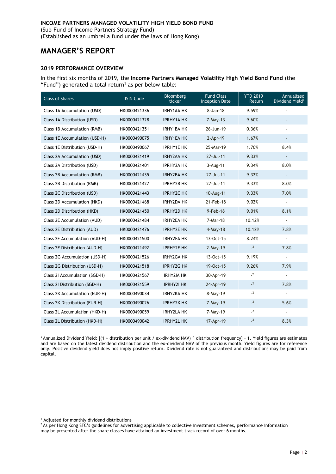(Established as an umbrella fund under the laws of Hong Kong)

# <span id="page-5-0"></span>**MANAGER'S REPORT**

#### <span id="page-5-1"></span>**2019 PERFORMANCE OVERVIEW**

In the first six months of 2019, the **Income Partners Managed Volatility High Yield Bond Fund** (the "Fund") generated a total return<sup>1</sup> as per below table:

| <b>Class of Shares</b>        | <b>ISIN Code</b> | Bloomberg<br>ticker | <b>Fund Class</b><br><b>Inception Date</b> | <b>YTD 2019</b><br>Return | Annualized<br>Dividend Yield* |
|-------------------------------|------------------|---------------------|--------------------------------------------|---------------------------|-------------------------------|
| Class 1A Accumulation (USD)   | HK0000421336     | <b>IRHY1AA HK</b>   | $8 - Jan - 18$                             | 9.59%                     |                               |
| Class 1A Distribution (USD)   | HK0000421328     | <b>IPRHY1A HK</b>   | $7-May-13$                                 | 9.60%                     |                               |
| Class 1B Accumulation (RMB)   | HK0000421351     | IRHY1BA HK          | 26-Jun-19                                  | 0.36%                     |                               |
| Class 1E Accumulation (USD-H) | HK0000490075     | <b>IRHY1EA HK</b>   | $2-Apr-19$                                 | 1.67%                     |                               |
| Class 1E Distribution (USD-H) | HK0000490067     | <b>IPRHY1E HK</b>   | 25-Mar-19                                  | 1.70%                     | 8.4%                          |
| Class 2A Accumulation (USD)   | HK0000421419     | <b>IRHY2AA HK</b>   | 27-Jul-11                                  | 9.33%                     |                               |
| Class 2A Distribution (USD)   | HK0000421401     | <b>IPRHY2A HK</b>   | 3-Aug-11                                   | 9.34%                     | 8.0%                          |
| Class 2B Accumulation (RMB)   | HK0000421435     | <b>IRHY2BA HK</b>   | 27-Jul-11                                  | 9.32%                     |                               |
| Class 2B Distribution (RMB)   | HK0000421427     | <b>IPRHY2B HK</b>   | 27-Jul-11                                  | 9.33%                     | 8.0%                          |
| Class 2C Distribution (USD)   | HK0000421443     | <b>IPRHY2C HK</b>   | 10-Aug-11                                  | 9.33%                     | 7.0%                          |
| Class 2D Accumulation (HKD)   | HK0000421468     | IRHY2DA HK          | 21-Feb-18                                  | 9.02%                     | $\overline{\phantom{a}}$      |
| Class 2D Distribution (HKD)   | HK0000421450     | <b>IPRHY2D HK</b>   | 9-Feb-18                                   | 9.01%                     | 8.1%                          |
| Class 2E Accumulation (AUD)   | HK0000421484     | <b>IRHY2EA HK</b>   | 7-Mar-18                                   | 10.12%                    | $\overline{\phantom{a}}$      |
| Class 2E Distribution (AUD)   | HK0000421476     | <b>IPRHY2E HK</b>   | $4$ -May-18                                | 10.12%                    | 7.8%                          |
| Class 2F Accumulation (AUD-H) | HK0000421500     | IRHY2FA HK          | 13-Oct-15                                  | 8.24%                     |                               |
| Class 2F Distribution (AUD-H) | HK0000421492     | <b>IPRHY2F HK</b>   | $2-May-19$                                 | $-2$                      | 7.8%                          |
| Class 2G Accumulation (USD-H) | HK0000421526     | <b>IRHY2GA HK</b>   | 13-Oct-15                                  | 9.19%                     |                               |
| Class 2G Distribution (USD-H) | HK0000421518     | <b>IPRHY2G HK</b>   | 19-Oct-15                                  | 9.26%                     | 7.9%                          |
| Class 21 Accumulation (SGD-H) | HK0000421567     | <b>IRHY2IA HK</b>   | 30-Apr-19                                  | $-2$                      |                               |
| Class 21 Distribution (SGD-H) | HK0000421559     | <b>IPRHY2I HK</b>   | 24-Apr-19                                  | $-2$                      | 7.8%                          |
| Class 2K Accumulation (EUR-H) | HK0000490034     | <b>IRHY2KA HK</b>   | 8-May-19                                   | $\sim$                    | $\blacksquare$                |
| Class 2K Distribution (EUR-H) | HK0000490026     | <b>IPRHY2K HK</b>   | 7-May-19                                   | $-2$                      | 5.6%                          |
| Class 2L Accumulation (HKD-H) | HK0000490059     | <b>IRHY2LA HK</b>   | 7-May-19                                   | $-2$                      | $\blacksquare$                |
| Class 2L Distribution (HKD-H) | HK0000490042     | <b>IPRHY2L HK</b>   | 17-Apr-19                                  | $-2$                      | 8.3%                          |

\* Annualized Dividend Yield: [(1 + distribution per unit / ex-dividend NAV) ^ distribution frequency] – 1. Yield figures are estimates and are based on the latest dividend distribution and the ex-dividend NAV of the previous month. Yield figures are for reference only. Positive dividend yield does not imply positive return. Dividend rate is not guaranteed and distributions may be paid from capital.

 $2$  As per Hong Kong SFC's guidelines for advertising applicable to collective investment schemes, performance information

<sup>-</sup><sup>1</sup> Adjusted for monthly dividend distributions

may be presented after the share classes have attained an investment track record of over 6 months.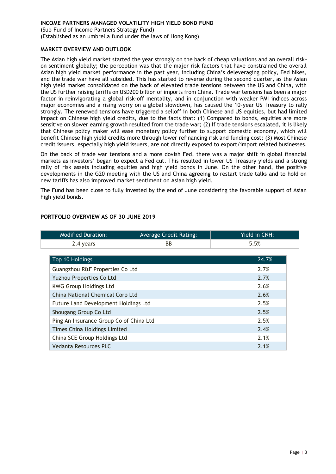(Sub-Fund of Income Partners Strategy Fund) (Established as an umbrella fund under the laws of Hong Kong)

#### <span id="page-6-0"></span>**MARKET OVERVIEW AND OUTLOOK**

The Asian high yield market started the year strongly on the back of cheap valuations and an overall riskon sentiment globally; the perception was that the major risk factors that have constrained the overall Asian high yield market performance in the past year, including China's deleveraging policy, Fed hikes, and the trade war have all subsided. This has started to reverse during the second quarter, as the Asian high yield market consolidated on the back of elevated trade tensions between the US and China, with the US further raising tariffs on USD200 billion of imports from China. Trade war tensions has been a major factor in reinvigorating a global risk-off mentality, and in conjunction with weaker PMI indices across major economies and a rising worry on a global slowdown, has caused the 10-year US Treasury to rally strongly. The renewed tensions have triggered a selloff in both Chinese and US equities, but had limited impact on Chinese high yield credits, due to the facts that: (1) Compared to bonds, equities are more sensitive on slower earning growth resulted from the trade war; (2) If trade tensions escalated, it is likely that Chinese policy maker will ease monetary policy further to support domestic economy, which will benefit Chinese high yield credits more through lower refinancing risk and funding cost; (3) Most Chinese credit issuers, especially high yield issuers, are not directly exposed to export/import related businesses.

On the back of trade war tensions and a more dovish Fed, there was a major shift in global financial markets as investors' began to expect a Fed cut. This resulted in lower US Treasury yields and a strong rally of risk assets including equities and high yield bonds in June. On the other hand, the positive developments in the G20 meeting with the US and China agreeing to restart trade talks and to hold on new tariffs has also improved market sentiment on Asian high yield.

The Fund has been close to fully invested by the end of June considering the favorable support of Asian high yield bonds.

| <b>Modified Duration:</b>               | <b>Average Credit Rating:</b> | Yield in CNH: |
|-----------------------------------------|-------------------------------|---------------|
| 2.4 years                               | BB.                           | 5.5%          |
|                                         |                               |               |
| Top 10 Holdings                         |                               | 24.7%         |
| Guangzhou R&F Properties Co Ltd         |                               | 2.7%          |
| <b>Yuzhou Properties Co Ltd</b>         |                               | 2.7%          |
| <b>KWG Group Holdings Ltd</b>           |                               | 2.6%          |
| China National Chemical Corp Ltd        |                               | 2.6%          |
| Future Land Development Holdings Ltd    |                               | 2.5%          |
| Shougang Group Co Ltd                   |                               | 2.5%          |
| Ping An Insurance Group Co of China Ltd |                               | 2.5%          |
| <b>Times China Holdings Limited</b>     |                               | 2.4%          |
| China SCE Group Holdings Ltd            | 2.1%                          |               |
| Vedanta Resources PLC                   |                               | 2.1%          |

#### <span id="page-6-1"></span>**PORTFOLIO OVERVIEW AS OF 30 JUNE 2019**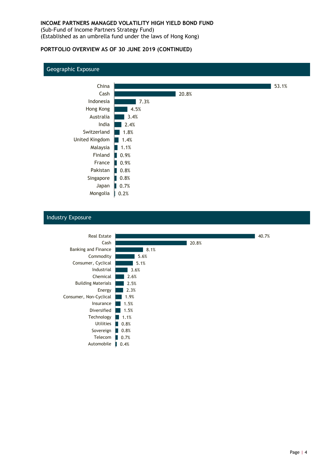(Sub-Fund of Income Partners Strategy Fund) (Established as an umbrella fund under the laws of Hong Kong)

#### **PORTFOLIO OVERVIEW AS OF 30 JUNE 2019 (CONTINUED)**

#### Geographic Exposure



### Industry Exposure

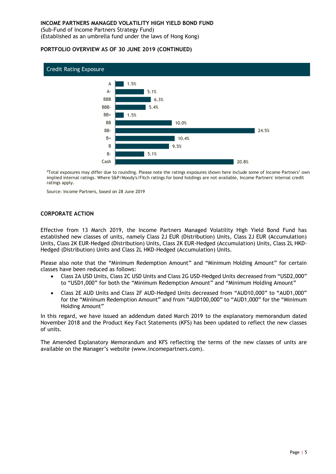(Sub-Fund of Income Partners Strategy Fund) (Established as an umbrella fund under the laws of Hong Kong)

#### **PORTFOLIO OVERVIEW AS OF 30 JUNE 2019 (CONTINUED)**



#Total exposures may differ due to rounding. Please note the ratings exposures shown here include some of Income Partners' own implied internal ratings. Where S&P/Moody's/Fitch ratings for bond holdings are not available, Income Partners' internal credit ratings apply.

Source: Income Partners, based on 28 June 2019

#### <span id="page-8-0"></span>**CORPORATE ACTION**

Effective from 13 March 2019, the Income Partners Managed Volatility High Yield Bond Fund has established new classes of units, namely Class 2J EUR (Distribution) Units, Class 2J EUR (Accumulation) Units, Class 2K EUR-Hedged (Distribution) Units, Class 2K EUR-Hedged (Accumulation) Units, Class 2L HKD-Hedged (Distribution) Units and Class 2L HKD-Hedged (Accumulation) Units.

Please also note that the "Minimum Redemption Amount" and "Minimum Holding Amount" for certain classes have been reduced as follows:

- Class 2A USD Units, Class 2C USD Units and Class 2G USD-Hedged Units decreased from "USD2,000" to "USD1,000" for both the "Minimum Redemption Amount" and "Minimum Holding Amount"
- Class 2E AUD Units and Class 2F AUD-Hedged Units decreased from "AUD10,000" to "AUD1,000" for the "Minimum Redemption Amount" and from "AUD100,000" to "AUD1,000" for the "Minimum Holding Amount"

In this regard, we have issued an addendum dated March 2019 to the explanatory memorandum dated November 2018 and the Product Key Fact Statements (KFS) has been updated to reflect the new classes of units.

The Amended Explanatory Memorandum and KFS reflecting the terms of the new classes of units are available on the Manager's website (www.incomepartners.com).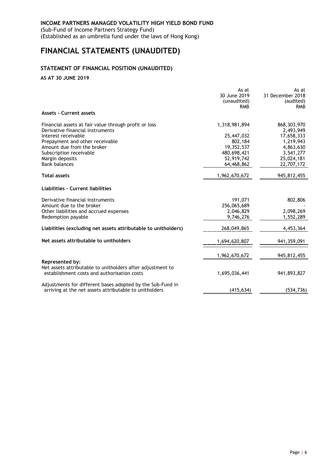(Sub-Fund of Income Partners Strategy Fund) (Established as an umbrella fund under the laws of Hong Kong)

# <span id="page-9-0"></span>**FINANCIAL STATEMENTS (UNAUDITED)**

# <span id="page-9-1"></span>**STATEMENT OF FINANCIAL POSITION (UNAUDITED)**

**AS AT 30 JUNE 2019**

|                                                                                                                      | As at         | As at            |
|----------------------------------------------------------------------------------------------------------------------|---------------|------------------|
|                                                                                                                      | 30 June 2019  | 31 December 2018 |
|                                                                                                                      | (unaudited)   | (audited)        |
|                                                                                                                      | <b>RMB</b>    | <b>RMB</b>       |
| <b>Assets - Current assets</b>                                                                                       |               |                  |
| Financial assets at fair value through profit or loss                                                                | 1,318,981,894 | 868, 303, 970    |
| Derivative financial instruments                                                                                     |               | 2,493,949        |
| Interest receivable                                                                                                  | 25,447,032    | 17,658,333       |
| Prepayment and other receivable                                                                                      | 802,184       | 1,219,943        |
| Amount due from the broker                                                                                           | 19,352,537    | 4,863,630        |
| Subscription receivable                                                                                              | 480,698,421   | 3,541,277        |
| Margin deposits                                                                                                      | 52,919,742    | 25,024,181       |
| <b>Bank balances</b>                                                                                                 | 64,468,862    | 22,707,172       |
| <b>Total assets</b>                                                                                                  | 1,962,670,672 | 945,812,455      |
| Liabilities - Current liabilities                                                                                    |               |                  |
| Derivative financial instruments                                                                                     | 191,071       | 802,806          |
| Amount due to the broker                                                                                             | 256,065,689   |                  |
| Other liabilities and accrued expenses                                                                               | 2,046,829     | 2,098,269        |
| Redemption payable                                                                                                   | 9,746,276     | 1,552,289        |
| Liabilities (excluding net assets attributable to unitholders)                                                       | 268,049,865   | 4,453,364        |
| Net assets attributable to unitholders                                                                               | 1,694,620,807 | 941,359,091      |
|                                                                                                                      | 1,962,670,672 | 945,812,455      |
| Represented by:                                                                                                      |               |                  |
| Net assets attributable to unitholders after adjustment to<br>establishment costs and authorisation costs            | 1,695,036,441 | 941,893,827      |
| Adjustments for different bases adopted by the Sub-Fund in<br>arriving at the net assets attributable to unitholders | (415, 634)    | (534, 736)       |
|                                                                                                                      |               |                  |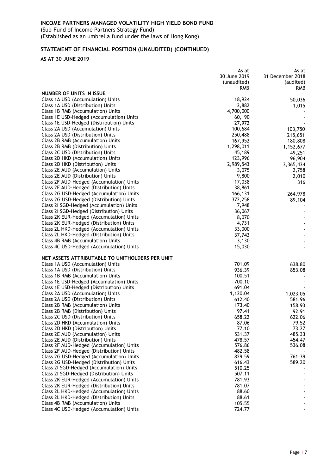(Sub-Fund of Income Partners Strategy Fund) (Established as an umbrella fund under the laws of Hong Kong)

# **STATEMENT OF FINANCIAL POSITION (UNAUDITED) (CONTINUED)**

**AS AT 30 JUNE 2019**

|                                                                        | As at          | As at            |
|------------------------------------------------------------------------|----------------|------------------|
|                                                                        | 30 June 2019   | 31 December 2018 |
|                                                                        | (unaudited)    | (audited)        |
|                                                                        | <b>RMB</b>     | <b>RMB</b>       |
| NUMBER OF UNITS IN ISSUE                                               |                |                  |
| Class 1A USD (Accumulation) Units                                      | 18,924         | 50,036           |
| Class 1A USD (Distribution) Units                                      | 2,882          | 1,015            |
| Class 1B RMB (Accumulation) Units                                      | 4,700,000      |                  |
| Class 1E USD-Hedged (Accumulation) Units                               | 60,190         |                  |
| Class 1E USD-Hedged (Distribution) Units                               | 27,972         |                  |
|                                                                        |                | 103,750          |
| Class 2A USD (Accumulation) Units                                      | 100,684        |                  |
| Class 2A USD (Distribution) Units                                      | 250,488        | 215,651          |
| Class 2B RMB (Accumulation) Units                                      | 167,952        | 180,808          |
| Class 2B RMB (Distribution) Units                                      | 1,298,011      | 1,152,677        |
| Class 2C USD (Distribution) Units                                      | 45,189         | 49,251           |
| Class 2D HKD (Accumulation) Units                                      | 123,996        | 96,904           |
| Class 2D HKD (Distribution) Units                                      | 2,989,543      | 3,365,434        |
| Class 2E AUD (Accumulation) Units                                      | 3,075          | 2,758            |
| Class 2E AUD (Distribution) Units                                      | 9,800          | 2,010            |
| Class 2F AUD-Hedged (Accumulation) Units                               | 17,038         | 316              |
| Class 2F AUD-Hedged (Distribution) Units                               | 38,861         |                  |
| Class 2G USD-Hedged (Accumulation) Units                               | 166,131        | 264,978          |
| Class 2G USD-Hedged (Distribution) Units                               | 372,258        | 89,104           |
| Class 21 SGD-Hedged (Accumulation) Units                               | 7,948          |                  |
| Class 21 SGD-Hedged (Distribution) Units                               | 36,067         |                  |
| Class 2K EUR-Hedged (Accumulation) Units                               | 8,070          |                  |
| Class 2K EUR-Hedged (Distribution) Units                               | 4,731          |                  |
|                                                                        |                |                  |
| Class 2L HKD-Hedged (Accumulation) Units                               | 33,000         | $\blacksquare$   |
| Class 2L HKD-Hedged (Distribution) Units                               | 37,743         |                  |
| Class 4B RMB (Accumulation) Units                                      | 3,130          |                  |
| Class 4C USD-Hedged (Accumulation) Units                               | 15,030         |                  |
| NET ASSETS ATTRIBUTABLE TO UNITHOLDERS PER UNIT                        |                |                  |
| Class 1A USD (Accumulation) Units                                      | 701.09         | 638.80           |
| Class 1A USD (Distribution) Units                                      | 936.39         | 853.08           |
| Class 1B RMB (Accumulation) Units                                      | 100.51         |                  |
| Class 1E USD-Hedged (Accumulation) Units                               | 700.10         |                  |
| Class 1E USD-Hedged (Distribution) Units                               | 691.04         |                  |
| Class 2A USD (Accumulation) Units                                      | 1,120.04       | 1,023.05         |
| Class 2A USD (Distribution) Units                                      | 612.40         | 581.96           |
| Class 2B RMB (Accumulation) Units                                      | 173.40         | 158.93           |
| Class 2B RMB (Distribution) Units                                      | 97.41          | 92.91            |
| Class 2C USD (Distribution) Units                                      | 658.22         | 622.06           |
|                                                                        |                |                  |
| Class 2D HKD (Accumulation) Units<br>Class 2D HKD (Distribution) Units | 87.06<br>77.10 | 79.52            |
|                                                                        |                | 73.27            |
| Class 2E AUD (Accumulation) Units                                      | 531.37         | 485.33           |
| Class 2E AUD (Distribution) Units                                      | 478.57         | 454.47           |
| Class 2F AUD-Hedged (Accumulation) Units                               | 576.86         | 536.08           |
| Class 2F AUD-Hedged (Distribution) Units                               | 482.58         |                  |
| Class 2G USD-Hedged (Accumulation) Units                               | 829.59         | 761.39           |
| Class 2G USD-Hedged (Distribution) Units                               | 616.43         | 589.20           |
| Class 2I SGD-Hedged (Accumulation) Units                               | 510.25         |                  |
| Class 21 SGD-Hedged (Distribution) Units                               | 507.11         |                  |
| Class 2K EUR-Hedged (Accumulation) Units                               | 781.93         |                  |
| Class 2K EUR-Hedged (Distribution) Units                               | 781.07         |                  |
| Class 2L HKD-Hedged (Accumulation) Units                               | 88.60          |                  |
| Class 2L HKD-Hedged (Distribution) Units                               | 88.61          |                  |
| Class 4B RMB (Accumulation) Units                                      | 105.55         |                  |
| Class 4C USD-Hedged (Accumulation) Units                               | 724.77         |                  |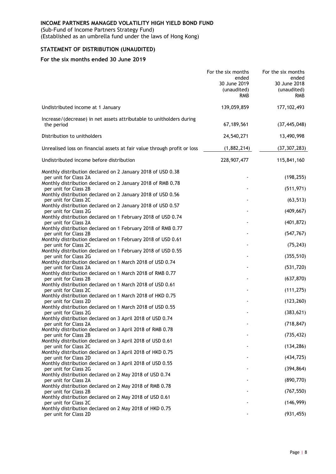(Sub-Fund of Income Partners Strategy Fund)

(Established as an umbrella fund under the laws of Hong Kong)

# <span id="page-11-0"></span>**STATEMENT OF DISTRIBUTION (UNAUDITED)**

|                                                                                       | For the six months<br>ended<br>30 June 2019<br>(unaudited)<br><b>RMB</b> | For the six months<br>ended<br>30 June 2018<br>(unaudited)<br><b>RMB</b> |
|---------------------------------------------------------------------------------------|--------------------------------------------------------------------------|--------------------------------------------------------------------------|
| Undistributed income at 1 January                                                     | 139,059,859                                                              | 177, 102, 493                                                            |
| Increase/(decrease) in net assets attributable to unitholders during<br>the period    | 67, 189, 561                                                             | (37, 445, 048)                                                           |
| Distribution to unitholders                                                           | 24,540,271                                                               | 13,490,998                                                               |
| Unrealised loss on financial assets at fair value through profit or loss              | (1,882,214)                                                              | (37, 307, 283)                                                           |
| Undistributed income before distribution                                              | 228,907,477                                                              | 115,841,160                                                              |
| Monthly distribution declared on 2 January 2018 of USD 0.38<br>per unit for Class 2A  |                                                                          | (198, 255)                                                               |
| Monthly distribution declared on 2 January 2018 of RMB 0.78<br>per unit for Class 2B  |                                                                          | (511, 971)                                                               |
| Monthly distribution declared on 2 January 2018 of USD 0.56<br>per unit for Class 2C  |                                                                          | (63, 513)                                                                |
| Monthly distribution declared on 2 January 2018 of USD 0.57<br>per unit for Class 2G  |                                                                          | (409, 667)                                                               |
| Monthly distribution declared on 1 February 2018 of USD 0.74<br>per unit for Class 2A |                                                                          | (401, 872)                                                               |
| Monthly distribution declared on 1 February 2018 of RMB 0.77<br>per unit for Class 2B |                                                                          | (547, 767)                                                               |
| Monthly distribution declared on 1 February 2018 of USD 0.61                          |                                                                          |                                                                          |
| per unit for Class 2C<br>Monthly distribution declared on 1 February 2018 of USD 0.55 |                                                                          | (75, 243)                                                                |
| per unit for Class 2G<br>Monthly distribution declared on 1 March 2018 of USD 0.74    |                                                                          | (355, 510)                                                               |
| per unit for Class 2A                                                                 |                                                                          | (531, 720)                                                               |
| Monthly distribution declared on 1 March 2018 of RMB 0.77<br>per unit for Class 2B    |                                                                          | (637, 870)                                                               |
| Monthly distribution declared on 1 March 2018 of USD 0.61<br>per unit for Class 2C    |                                                                          | (111, 275)                                                               |
| Monthly distribution declared on 1 March 2018 of HKD 0.75<br>per unit for Class 2D    |                                                                          | (123, 260)                                                               |
| Monthly distribution declared on 1 March 2018 of USD 0.55                             |                                                                          |                                                                          |
| per unit for Class 2G<br>Monthly distribution declared on 3 April 2018 of USD 0.74    |                                                                          | (383, 621)                                                               |
| per unit for Class 2A<br>Monthly distribution declared on 3 April 2018 of RMB 0.78    |                                                                          | (718, 847)                                                               |
| per unit for Class 2B                                                                 |                                                                          | (735, 432)                                                               |
| Monthly distribution declared on 3 April 2018 of USD 0.61<br>per unit for Class 2C    |                                                                          | (134, 286)                                                               |
| Monthly distribution declared on 3 April 2018 of HKD 0.75<br>per unit for Class 2D    |                                                                          | (434, 725)                                                               |
| Monthly distribution declared on 3 April 2018 of USD 0.55                             |                                                                          |                                                                          |
| per unit for Class 2G<br>Monthly distribution declared on 2 May 2018 of USD 0.74      |                                                                          | (394, 864)                                                               |
| per unit for Class 2A                                                                 |                                                                          | (890, 770)                                                               |
| Monthly distribution declared on 2 May 2018 of RMB 0.78<br>per unit for Class 2B      |                                                                          | (767, 550)                                                               |
| Monthly distribution declared on 2 May 2018 of USD 0.61<br>per unit for Class 2C      |                                                                          | (146, 999)                                                               |
| Monthly distribution declared on 2 May 2018 of HKD 0.75<br>per unit for Class 2D      |                                                                          | (931, 455)                                                               |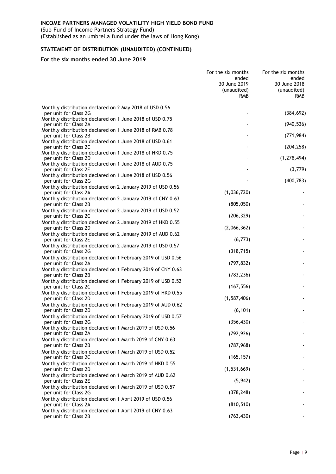(Sub-Fund of Income Partners Strategy Fund) (Established as an umbrella fund under the laws of Hong Kong)

# **STATEMENT OF DISTRIBUTION (UNAUDITED) (CONTINUED)**

|                                                                                       | For the six months<br>ended<br>30 June 2019<br>(unaudited)<br><b>RMB</b> | For the six months<br>ended<br>30 June 2018<br>(unaudited)<br><b>RMB</b> |
|---------------------------------------------------------------------------------------|--------------------------------------------------------------------------|--------------------------------------------------------------------------|
| Monthly distribution declared on 2 May 2018 of USD 0.56                               |                                                                          |                                                                          |
| per unit for Class 2G<br>Monthly distribution declared on 1 June 2018 of USD 0.75     |                                                                          | (384, 692)                                                               |
| per unit for Class 2A<br>Monthly distribution declared on 1 June 2018 of RMB 0.78     |                                                                          | (940, 536)                                                               |
| per unit for Class 2B                                                                 |                                                                          | (771, 984)                                                               |
| Monthly distribution declared on 1 June 2018 of USD 0.61<br>per unit for Class 2C     |                                                                          | (204, 258)                                                               |
| Monthly distribution declared on 1 June 2018 of HKD 0.75<br>per unit for Class 2D     |                                                                          | (1, 278, 494)                                                            |
| Monthly distribution declared on 1 June 2018 of AUD 0.75                              |                                                                          |                                                                          |
| per unit for Class 2E<br>Monthly distribution declared on 1 June 2018 of USD 0.56     |                                                                          | (3,779)                                                                  |
| per unit for Class 2G                                                                 |                                                                          | (400, 783)                                                               |
| Monthly distribution declared on 2 January 2019 of USD 0.56<br>per unit for Class 2A  | (1,036,720)                                                              |                                                                          |
| Monthly distribution declared on 2 January 2019 of CNY 0.63                           |                                                                          |                                                                          |
| per unit for Class 2B                                                                 | (805, 050)                                                               |                                                                          |
| Monthly distribution declared on 2 January 2019 of USD 0.52<br>per unit for Class 2C  | (206, 329)                                                               |                                                                          |
| Monthly distribution declared on 2 January 2019 of HKD 0.55<br>per unit for Class 2D  | (2,066,362)                                                              |                                                                          |
| Monthly distribution declared on 2 January 2019 of AUD 0.62<br>per unit for Class 2E  | (6, 773)                                                                 |                                                                          |
| Monthly distribution declared on 2 January 2019 of USD 0.57                           | (318, 715)                                                               |                                                                          |
| per unit for Class 2G<br>Monthly distribution declared on 1 February 2019 of USD 0.56 |                                                                          |                                                                          |
| per unit for Class 2A                                                                 | (797, 832)                                                               |                                                                          |
| Monthly distribution declared on 1 February 2019 of CNY 0.63<br>per unit for Class 2B | (783, 236)                                                               |                                                                          |
| Monthly distribution declared on 1 February 2019 of USD 0.52                          |                                                                          |                                                                          |
| per unit for Class 2C<br>Monthly distribution declared on 1 February 2019 of HKD 0.55 | (167, 556)                                                               |                                                                          |
| per unit for Class 2D                                                                 | (1, 587, 406)                                                            |                                                                          |
| Monthly distribution declared on 1 February 2019 of AUD 0.62<br>per unit for Class 2D | (6, 101)                                                                 |                                                                          |
| Monthly distribution declared on 1 February 2019 of USD 0.57<br>per unit for Class 2G | (356, 430)                                                               |                                                                          |
| Monthly distribution declared on 1 March 2019 of USD 0.56                             |                                                                          |                                                                          |
| per unit for Class 2A<br>Monthly distribution declared on 1 March 2019 of CNY 0.63    | (792, 926)                                                               |                                                                          |
| per unit for Class 2B                                                                 | (787, 968)                                                               |                                                                          |
| Monthly distribution declared on 1 March 2019 of USD 0.52<br>per unit for Class 2C    | (165, 157)                                                               |                                                                          |
| Monthly distribution declared on 1 March 2019 of HKD 0.55<br>per unit for Class 2D    | (1,531,669)                                                              |                                                                          |
| Monthly distribution declared on 1 March 2019 of AUD 0.62<br>per unit for Class 2E    | (5, 942)                                                                 |                                                                          |
| Monthly distribution declared on 1 March 2019 of USD 0.57                             |                                                                          |                                                                          |
| per unit for Class 2G<br>Monthly distribution declared on 1 April 2019 of USD 0.56    | (378, 248)                                                               |                                                                          |
| per unit for Class 2A                                                                 | (810, 510)                                                               |                                                                          |
| Monthly distribution declared on 1 April 2019 of CNY 0.63<br>per unit for Class 2B    | (763, 430)                                                               |                                                                          |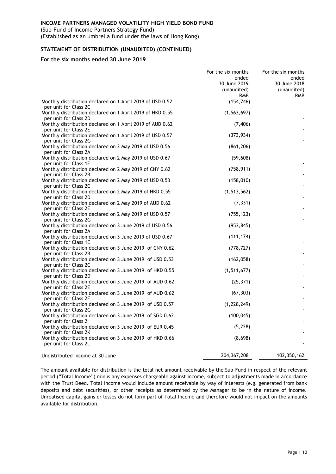(Sub-Fund of Income Partners Strategy Fund) (Established as an umbrella fund under the laws of Hong Kong)

#### **STATEMENT OF DISTRIBUTION (UNAUDITED) (CONTINUED)**

#### **For the six months ended 30 June 2019**

|                                                                                    | For the six months<br>ended<br>30 June 2019<br>(unaudited)<br><b>RMB</b> | For the six months<br>ended<br>30 June 2018<br>(unaudited)<br><b>RMB</b> |
|------------------------------------------------------------------------------------|--------------------------------------------------------------------------|--------------------------------------------------------------------------|
| Monthly distribution declared on 1 April 2019 of USD 0.52<br>per unit for Class 2C | (154, 746)                                                               |                                                                          |
| Monthly distribution declared on 1 April 2019 of HKD 0.55<br>per unit for Class 2D | (1, 563, 697)                                                            |                                                                          |
| Monthly distribution declared on 1 April 2019 of AUD 0.62<br>per unit for Class 2E | (7, 406)                                                                 |                                                                          |
| Monthly distribution declared on 1 April 2019 of USD 0.57<br>per unit for Class 2G | (373, 934)                                                               |                                                                          |
| Monthly distribution declared on 2 May 2019 of USD 0.56                            | (861, 206)                                                               |                                                                          |
| per unit for Class 2A<br>Monthly distribution declared on 2 May 2019 of USD 0.67   | (59, 608)                                                                |                                                                          |
| per unit for Class 1E<br>Monthly distribution declared on 2 May 2019 of CNY 0.62   | (758, 911)                                                               |                                                                          |
| per unit for Class 2B<br>Monthly distribution declared on 2 May 2019 of USD 0.53   | (158, 010)                                                               |                                                                          |
| per unit for Class 2C<br>Monthly distribution declared on 2 May 2019 of HKD 0.55   | (1, 513, 562)                                                            |                                                                          |
| per unit for Class 2D<br>Monthly distribution declared on 2 May 2019 of AUD 0.62   | (7, 331)                                                                 |                                                                          |
| per unit for Class 2E<br>Monthly distribution declared on 2 May 2019 of USD 0.57   | (755, 123)                                                               |                                                                          |
| per unit for Class 2G<br>Monthly distribution declared on 3 June 2019 of USD 0.56  | (953, 845)                                                               |                                                                          |
| per unit for Class 2A<br>Monthly distribution declared on 3 June 2019 of USD 0.67  | (111, 174)                                                               |                                                                          |
| per unit for Class 1E<br>Monthly distribution declared on 3 June 2019 of CNY 0.62  | (778, 727)                                                               |                                                                          |
| per unit for Class 2B<br>Monthly distribution declared on 3 June 2019 of USD 0.53  | (162, 058)                                                               |                                                                          |
| per unit for Class 2C<br>Monthly distribution declared on 3 June 2019 of HKD 0.55  | (1,511,677)                                                              |                                                                          |
| per unit for Class 2D<br>Monthly distribution declared on 3 June 2019 of AUD 0.62  | (25, 371)                                                                |                                                                          |
| per unit for Class 2E<br>Monthly distribution declared on 3 June 2019 of AUD 0.62  | (67, 303)                                                                |                                                                          |
| per unit for Class 2F<br>Monthly distribution declared on 3 June 2019 of USD 0.57  | (1, 228, 249)                                                            |                                                                          |
| per unit for Class 2G<br>Monthly distribution declared on 3 June 2019 of SGD 0.62  | (100, 045)                                                               |                                                                          |
| per unit for Class 21<br>Monthly distribution declared on 3 June 2019 of EUR 0.45  | (5, 228)                                                                 |                                                                          |
| per unit for Class 2K<br>Monthly distribution declared on 3 June 2019 of HKD 0.66  | (8,698)                                                                  |                                                                          |
| per unit for Class 2L                                                              |                                                                          |                                                                          |
| Undistributed income at 30 June                                                    | 204, 367, 208                                                            | 102,350,162                                                              |

The amount available for distribution is the total net amount receivable by the Sub-Fund in respect of the relevant period ("Total Income") minus any expenses chargeable against income, subject to adjustments made in accordance with the Trust Deed. Total Income would include amount receivable by way of interests (e.g. generated from bank deposits and debt securities), or other receipts as determined by the Manager to be in the nature of income. Unrealised capital gains or losses do not form part of Total Income and therefore would not impact on the amounts available for distribution.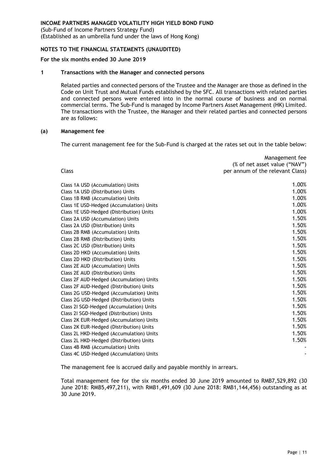(Sub-Fund of Income Partners Strategy Fund) (Established as an umbrella fund under the laws of Hong Kong)

#### <span id="page-14-0"></span>**NOTES TO THE FINANCIAL STATEMENTS (UNAUDITED)**

#### **For the six months ended 30 June 2019**

#### **1 Transactions with the Manager and connected persons**

Related parties and connected persons of the Trustee and the Manager are those as defined in the Code on Unit Trust and Mutual Funds established by the SFC. All transactions with related parties and connected persons were entered into in the normal course of business and on normal commercial terms. The Sub-Fund is managed by Income Partners Asset Management (HK) Limited. The transactions with the Trustee, the Manager and their related parties and connected persons are as follows:

#### **(a) Management fee**

The current management fee for the Sub-Fund is charged at the rates set out in the table below:

| Class                                    | Management fee<br>(% of net asset value ("NAV")<br>per annum of the relevant Class) |
|------------------------------------------|-------------------------------------------------------------------------------------|
| Class 1A USD (Accumulation) Units        | 1.00%                                                                               |
| Class 1A USD (Distribution) Units        | 1.00%                                                                               |
| Class 1B RMB (Accumulation) Units        | 1.00%                                                                               |
| Class 1E USD-Hedged (Accumulation) Units | 1.00%                                                                               |
| Class 1E USD-Hedged (Distribution) Units | 1.00%                                                                               |
| Class 2A USD (Accumulation) Units        | 1.50%                                                                               |
| Class 2A USD (Distribution) Units        | 1.50%                                                                               |
| Class 2B RMB (Accumulation) Units        | 1.50%                                                                               |
| Class 2B RMB (Distribution) Units        | 1.50%                                                                               |
| Class 2C USD (Distribution) Units        | 1.50%                                                                               |
| Class 2D HKD (Accumulation) Units        | 1.50%                                                                               |
| Class 2D HKD (Distribution) Units        | 1.50%                                                                               |
| Class 2E AUD (Accumulation) Units        | 1.50%                                                                               |
| Class 2E AUD (Distribution) Units        | 1.50%                                                                               |
| Class 2F AUD-Hedged (Accumulation) Units | 1.50%                                                                               |
| Class 2F AUD-Hedged (Distribution) Units | 1.50%                                                                               |
| Class 2G USD-Hedged (Accumulation) Units | 1.50%                                                                               |
| Class 2G USD-Hedged (Distribution) Units | 1.50%                                                                               |
| Class 2I SGD-Hedged (Accumulation) Units | 1.50%                                                                               |
| Class 2I SGD-Hedged (Distribution) Units | 1.50%                                                                               |
| Class 2K EUR-Hedged (Accumulation) Units | 1.50%                                                                               |
| Class 2K EUR-Hedged (Distribution) Units | 1.50%                                                                               |
| Class 2L HKD-Hedged (Accumulation) Units | 1.50%                                                                               |
| Class 2L HKD-Hedged (Distribution) Units | 1.50%                                                                               |
| Class 4B RMB (Accumulation) Units        |                                                                                     |
| Class 4C USD-Hedged (Accumulation) Units |                                                                                     |

The management fee is accrued daily and payable monthly in arrears.

Total management fee for the six months ended 30 June 2019 amounted to RMB7,529,892 (30 June 2018: RMB5,497,211), with RMB1,491,609 (30 June 2018: RMB1,144,456) outstanding as at 30 June 2019.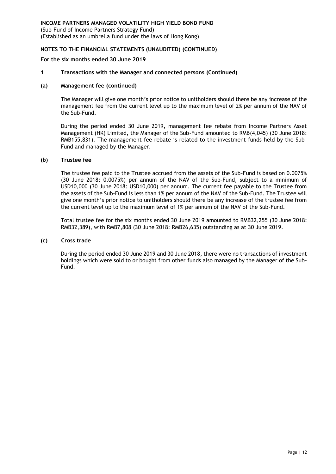(Sub-Fund of Income Partners Strategy Fund) (Established as an umbrella fund under the laws of Hong Kong)

# **NOTES TO THE FINANCIAL STATEMENTS (UNAUDITED) (CONTINUED)**

#### **For the six months ended 30 June 2019**

#### **1 Transactions with the Manager and connected persons (Continued)**

#### **(a) Management fee (continued)**

The Manager will give one month's prior notice to unitholders should there be any increase of the management fee from the current level up to the maximum level of 2% per annum of the NAV of the Sub-Fund.

During the period ended 30 June 2019, management fee rebate from Income Partners Asset Management (HK) Limited, the Manager of the Sub-Fund amounted to RMB(4,045) (30 June 2018: RMB155,831). The management fee rebate is related to the investment funds held by the Sub-Fund and managed by the Manager.

#### **(b) Trustee fee**

The trustee fee paid to the Trustee accrued from the assets of the Sub-Fund is based on 0.0075% (30 June 2018: 0.0075%) per annum of the NAV of the Sub-Fund, subject to a minimum of USD10,000 (30 June 2018: USD10,000) per annum. The current fee payable to the Trustee from the assets of the Sub-Fund is less than 1% per annum of the NAV of the Sub-Fund. The Trustee will give one month's prior notice to unitholders should there be any increase of the trustee fee from the current level up to the maximum level of 1% per annum of the NAV of the Sub-Fund.

Total trustee fee for the six months ended 30 June 2019 amounted to RMB32,255 (30 June 2018: RMB32,389), with RMB7,808 (30 June 2018: RMB26,635) outstanding as at 30 June 2019.

#### **(c) Cross trade**

During the period ended 30 June 2019 and 30 June 2018, there were no transactions of investment holdings which were sold to or bought from other funds also managed by the Manager of the Sub-Fund.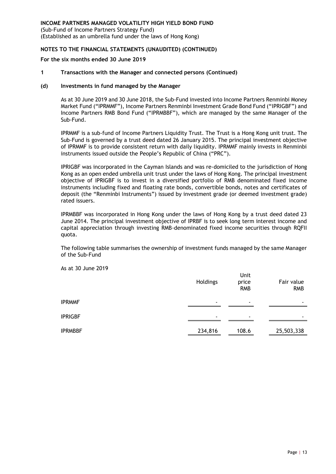(Sub-Fund of Income Partners Strategy Fund) (Established as an umbrella fund under the laws of Hong Kong)

#### **NOTES TO THE FINANCIAL STATEMENTS (UNAUDITED) (CONTINUED)**

#### **For the six months ended 30 June 2019**

#### **1 Transactions with the Manager and connected persons (Continued)**

#### **(d) Investments in fund managed by the Manager**

As at 30 June 2019 and 30 June 2018, the Sub-Fund invested into Income Partners Renminbi Money Market Fund ("IPRMMF"), Income Partners Renminbi Investment Grade Bond Fund ("IPRIGBF") and Income Partners RMB Bond Fund ("IPRMBBF"), which are managed by the same Manager of the Sub-Fund.

IPRMMF is a sub-fund of Income Partners Liquidity Trust. The Trust is a Hong Kong unit trust. The Sub-Fund is governed by a trust deed dated 26 January 2015. The principal investment objective of IPRMMF is to provide consistent return with daily liquidity. IPRMMF mainly invests in Renminbi instruments issued outside the People's Republic of China ("PRC").

IPRIGBF was incorporated in the Cayman Islands and was re-domiciled to the jurisdiction of Hong Kong as an open ended umbrella unit trust under the laws of Hong Kong. The principal investment objective of IPRIGBF is to invest in a diversified portfolio of RMB denominated fixed income instruments including fixed and floating rate bonds, convertible bonds, notes and certificates of deposit (the "Renminbi Instruments") issued by investment grade (or deemed investment grade) rated issuers.

IPRMBBF was incorporated in Hong Kong under the laws of Hong Kong by a trust deed dated 23 June 2014. The principal investment objective of IPRBF is to seek long term interest income and capital appreciation through investing RMB-denominated fixed income securities through RQFII quota.

The following table summarises the ownership of investment funds managed by the same Manager of the Sub-Fund

|                | Holdings                 | Unit<br>price<br><b>RMB</b> | Fair value<br><b>RMB</b> |
|----------------|--------------------------|-----------------------------|--------------------------|
| <b>IPRMMF</b>  | ٠                        | ۰                           | ۰                        |
| <b>IPRIGBF</b> | $\overline{\phantom{0}}$ | $\overline{\phantom{0}}$    | $\overline{\phantom{0}}$ |
| <b>IPRMBBF</b> | 234,816                  | 108.6                       | 25,503,338               |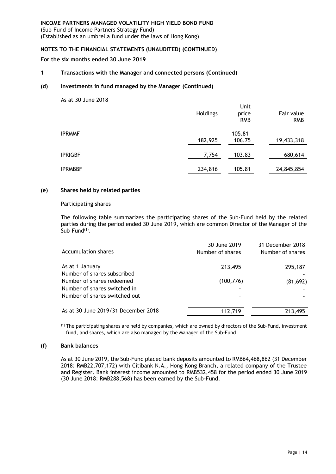(Sub-Fund of Income Partners Strategy Fund) (Established as an umbrella fund under the laws of Hong Kong)

#### **NOTES TO THE FINANCIAL STATEMENTS (UNAUDITED) (CONTINUED)**

**For the six months ended 30 June 2019**

#### **1 Transactions with the Manager and connected persons (Continued)**

#### **(d) Investments in fund managed by the Manager (Continued)**

As at 30 June 2018

|                | Holdings | Unit<br>price<br><b>RMB</b> | Fair value<br><b>RMB</b> |
|----------------|----------|-----------------------------|--------------------------|
| <b>IPRMMF</b>  | 182,925  | $105.81 -$<br>106.75        | 19,433,318               |
| <b>IPRIGBF</b> | 7,754    | 103.83                      | 680,614                  |
| <b>IPRMBBF</b> | 234,816  | 105.81                      | 24,845,854               |

#### **(e) Shares held by related parties**

#### Participating shares

The following table summarizes the participating shares of the Sub-Fund held by the related parties during the period ended 30 June 2019, which are common Director of the Manager of the Sub-Fund<sup>(1)</sup>.

| Accumulation shares                 | 30 June 2019<br>Number of shares | 31 December 2018<br>Number of shares |
|-------------------------------------|----------------------------------|--------------------------------------|
| As at 1 January                     | 213,495                          | 295,187                              |
| Number of shares subscribed         |                                  |                                      |
| Number of shares redeemed           | (100, 776)                       | (81, 692)                            |
| Number of shares switched in        |                                  |                                      |
| Number of shares switched out       |                                  |                                      |
| As at 30 June 2019/31 December 2018 | 112,719                          | 213,495                              |
|                                     |                                  |                                      |

(1) The participating shares are held by companies, which are owned by directors of the Sub-Fund, investment fund, and shares, which are also managed by the Manager of the Sub-Fund.

#### **(f) Bank balances**

As at 30 June 2019, the Sub-Fund placed bank deposits amounted to RMB64,468,862 (31 December 2018: RMB22,707,172) with Citibank N.A., Hong Kong Branch, a related company of the Trustee and Register. Bank interest income amounted to RMB532,458 for the period ended 30 June 2019 (30 June 2018: RMB288,568) has been earned by the Sub-Fund.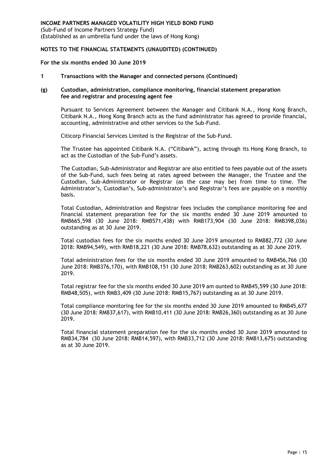(Sub-Fund of Income Partners Strategy Fund) (Established as an umbrella fund under the laws of Hong Kong)

#### **NOTES TO THE FINANCIAL STATEMENTS (UNAUDITED) (CONTINUED)**

#### **For the six months ended 30 June 2019**

#### **1 Transactions with the Manager and connected persons (Continued)**

#### **(g) Custodian, administration, compliance monitoring, financial statement preparation fee and registrar and processing agent fee**

Pursuant to Services Agreement between the Manager and Citibank N.A., Hong Kong Branch, Citibank N.A., Hong Kong Branch acts as the fund administrator has agreed to provide financial, accounting, administrative and other services to the Sub-Fund.

Citicorp Financial Services Limited is the Registrar of the Sub-Fund.

The Trustee has appointed Citibank N.A. ("Citibank"), acting through its Hong Kong Branch, to act as the Custodian of the Sub-Fund's assets.

The Custodian, Sub-Administrator and Registrar are also entitled to fees payable out of the assets of the Sub-Fund, such fees being at rates agreed between the Manager, the Trustee and the Custodian, Sub-Administrator or Registrar (as the case may be) from time to time. The Administrator's, Custodian's, Sub-administrator's and Registrar's fees are payable on a monthly basis.

Total Custodian, Administration and Registrar fees includes the compliance monitoring fee and financial statement preparation fee for the six months ended 30 June 2019 amounted to RMB665,598 (30 June 2018: RMB571,438) with RMB173,904 (30 June 2018: RMB398,036) outstanding as at 30 June 2019.

Total custodian fees for the six months ended 30 June 2019 amounted to RMB82,772 (30 June 2018: RMB94,549), with RMB18,221 (30 June 2018: RMB78,632) outstanding as at 30 June 2019.

Total administration fees for the six months ended 30 June 2019 amounted to RMB456,766 (30 June 2018: RMB376,170), with RMB108,151 (30 June 2018: RMB263,602) outstanding as at 30 June 2019.

Total registrar fee for the six months ended 30 June 2019 am ounted to RMB45,599 (30 June 2018: RMB48,505), with RMB3,409 (30 June 2018: RMB15,767) outstanding as at 30 June 2019.

Total compliance monitoring fee for the six months ended 30 June 2019 amounted to RMB45,677 (30 June 2018: RMB37,617), with RMB10,411 (30 June 2018: RMB26,360) outstanding as at 30 June 2019.

Total financial statement preparation fee for the six months ended 30 June 2019 amounted to RMB34,784 (30 June 2018: RMB14,597), with RMB33,712 (30 June 2018: RMB13,675) outstanding as at 30 June 2019.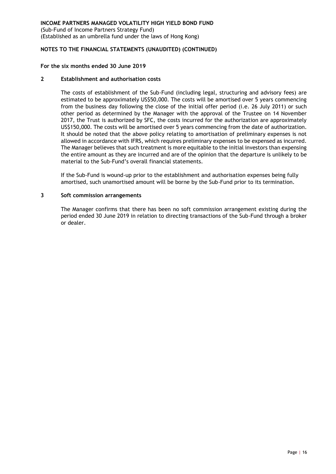(Sub-Fund of Income Partners Strategy Fund) (Established as an umbrella fund under the laws of Hong Kong)

# **NOTES TO THE FINANCIAL STATEMENTS (UNAUDITED) (CONTINUED)**

#### **For the six months ended 30 June 2019**

#### **2 Establishment and authorisation costs**

The costs of establishment of the Sub-Fund (including legal, structuring and advisory fees) are estimated to be approximately US\$50,000. The costs will be amortised over 5 years commencing from the business day following the close of the initial offer period (i.e. 26 July 2011) or such other period as determined by the Manager with the approval of the Trustee on 14 November 2017, the Trust is authorized by SFC, the costs incurred for the authorization are approximately US\$150,000. The costs will be amortised over 5 years commencing from the date of authorization. It should be noted that the above policy relating to amortisation of preliminary expenses is not allowed in accordance with IFRS, which requires preliminary expenses to be expensed as incurred. The Manager believes that such treatment is more equitable to the initial investors than expensing the entire amount as they are incurred and are of the opinion that the departure is unlikely to be material to the Sub-Fund's overall financial statements.

If the Sub-Fund is wound-up prior to the establishment and authorisation expenses being fully amortised, such unamortised amount will be borne by the Sub-Fund prior to its termination.

#### **3 Soft commission arrangements**

The Manager confirms that there has been no soft commission arrangement existing during the period ended 30 June 2019 in relation to directing transactions of the Sub-Fund through a broker or dealer.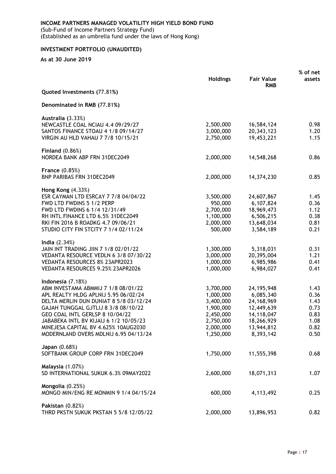(Sub-Fund of Income Partners Strategy Fund) (Established as an umbrella fund under the laws of Hong Kong)

# <span id="page-20-0"></span>**INVESTMENT PORTFOLIO (UNAUDITED)**

|                                                                           | <b>Holdings</b>        | <b>Fair Value</b><br><b>RMB</b> | % of net<br>assets |
|---------------------------------------------------------------------------|------------------------|---------------------------------|--------------------|
| Quoted Investments (77.81%)                                               |                        |                                 |                    |
| Denominated in RMB (77.81%)                                               |                        |                                 |                    |
| Australia (3.33%)                                                         |                        |                                 |                    |
| NEWCASTLE COAL NCIAU 4.4 09/29/27                                         | 2,500,000              | 16,584,124                      | 0.98               |
| SANTOS FINANCE STOAU 4 1/8 09/14/27<br>VIRGIN AU HLD VAHAU 7 7/8 10/15/21 | 3,000,000<br>2,750,000 | 20, 343, 123<br>19,453,221      | 1.20<br>1.15       |
|                                                                           |                        |                                 |                    |
| Finland $(0.86%)$<br>NORDEA BANK ABP FRN 31DEC2049                        | 2,000,000              | 14,548,268                      | 0.86               |
|                                                                           |                        |                                 |                    |
| France $(0.85%)$<br><b>BNP PARIBAS FRN 31DEC2049</b>                      | 2,000,000              |                                 | 0.85               |
|                                                                           |                        | 14,374,230                      |                    |
| <b>Hong Kong (4.33%)</b>                                                  |                        |                                 |                    |
| ESR CAYMAN LTD ESRCAY 7 7/8 04/04/22                                      | 3,500,000              | 24,607,867                      | 1.45               |
| FWD LTD FWDINS 5 1/2 PERP<br>FWD LTD FWDINS 6 1/4 12/31/49                | 950,000<br>2,700,000   | 6,107,824<br>18,969,473         | 0.36               |
| RH INTL FINANCE LTD 6.5% 31DEC2049                                        | 1,100,000              | 6,506,215                       | 1.12<br>0.38       |
| RKI FIN 2016 B ROADKG 4.7 09/06/21                                        | 2,000,000              | 13,648,034                      | 0.81               |
| STUDIO CITY FIN STCITY 7 1/4 02/11/24                                     | 500,000                | 3,584,189                       | 0.21               |
| India $(2.34%)$                                                           |                        |                                 |                    |
| JAIN INT TRADING JIIN 7 1/8 02/01/22                                      | 1,300,000              | 5,318,031                       | 0.31               |
| VEDANTA RESOURCE VEDLN 6 3/8 07/30/22                                     | 3,000,000              | 20,395,004                      | 1.21               |
| VEDANTA RESOURCES 8% 23APR2023                                            | 1,000,000              | 6,985,986                       | 0.41               |
| VEDANTA RESOURCES 9.25% 23APR2026                                         | 1,000,000              | 6,984,027                       | 0.41               |
| Indonesia $(7.18%)$                                                       |                        |                                 |                    |
| ABM INVESTAMA ABMMIJ 7 1/8 08/01/22                                       | 3,700,000              | 24, 195, 948                    | 1.43               |
| APL REALTY HLDG APLNIJ 5.95 06/02/24                                      | 1,000,000              | 6,085,340                       | 0.36               |
| DELTA MERLIN DUN DUNIAT 8 5/8 03/12/24                                    | 3,400,000              | 24, 168, 969                    | 1.43               |
| GAJAH TUNGGAL GJTLIJ 8 3/8 08/10/22                                       | 1,900,000              | 12,449,639                      | 0.73               |
| GEO COAL INTL GERLSP 8 10/04/22                                           | 2,450,000              | 14,118,047                      | 0.83               |
| JABABEKA INTL BV KIJAIJ 6 1/2 10/05/23                                    | 2,750,000              | 18,266,929                      | 1.08               |
| MINEJESA CAPITAL BV 4.625% 10AUG2030                                      | 2,000,000              | 13,944,812                      | 0.82               |
| MODERNLAND OVERS MDLNIJ 6.95 04/13/24                                     | 1,250,000              | 8,393,142                       | 0.50               |
| Japan (0.68%)                                                             |                        |                                 |                    |
| SOFTBANK GROUP CORP FRN 31DEC2049                                         | 1,750,000              | 11,555,398                      | 0.68               |
| <b>Malaysia</b> (1.07%)                                                   |                        |                                 |                    |
| SD INTERNATIONAL SUKUK 6.3% 09MAY2022                                     | 2,600,000              | 18,071,313                      | 1.07               |
| Mongolia (0.25%)                                                          |                        |                                 |                    |
| MONGO MIN/ENG RE MONMIN 9 1/4 04/15/24                                    | 600,000                | 4,113,492                       | 0.25               |
| <b>Pakistan (0.82%)</b>                                                   |                        |                                 |                    |
| THRD PKSTN SUKUK PKSTAN 5 5/8 12/05/22                                    | 2,000,000              | 13,896,953                      | 0.82               |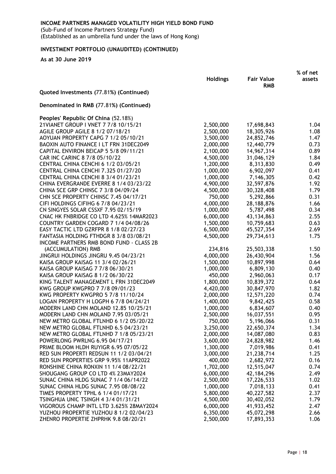(Sub-Fund of Income Partners Strategy Fund) (Established as an umbrella fund under the laws of Hong Kong)

# **INVESTMENT PORTFOLIO (UNAUDITED) (CONTINUED)**

|                                                                                    |                 |                                 | % of net |
|------------------------------------------------------------------------------------|-----------------|---------------------------------|----------|
|                                                                                    | <b>Holdings</b> | <b>Fair Value</b><br><b>RMB</b> | assets   |
| Quoted Investments (77.81%) (Continued)                                            |                 |                                 |          |
| Denominated in RMB (77.81%) (Continued)                                            |                 |                                 |          |
| Peoples' Republic Of China (52.18%)                                                |                 |                                 |          |
| 21VIANET GROUP I VNET 7 7/8 10/15/21                                               | 2,500,000       | 17,698,843                      | 1.04     |
| AGILE GROUP AGILE 8 1/2 07/18/21                                                   | 2,500,000       | 18,305,926                      | 1.08     |
| AOYUAN PROPERTY CAPG 7 1/2 05/10/21                                                | 3,500,000       | 24,852,746                      | 1.47     |
| BAOXIN AUTO FINANCE I LT FRN 31DEC2049                                             | 2,000,000       | 12,440,779                      | 0.73     |
| CAPITAL ENVIRON BEICAP 5 5/8 09/11/21                                              | 2,100,000       | 14,967,314                      | 0.89     |
| CAR INC CARINC 8 7/8 05/10/22                                                      | 4,500,000       | 31,046,129                      | 1.84     |
| CENTRAL CHINA CENCHI 6 1/2 03/05/21                                                | 1,200,000       | 8,313,830                       | 0.49     |
| CENTRAL CHINA CENCHI 7.325 01/27/20                                                | 1,000,000       | 6,902,097                       | 0.41     |
| CENTRAL CHINA CENCHI 8 3/4 01/23/21                                                | 1,000,000       | 7,146,305                       | 0.42     |
| CHINA EVERGRANDE EVERRE 8 1/4 03/23/22                                             | 4,900,000       | 32,597,876                      | 1.92     |
| CHINA SCE GRP CHINSC 7 3/8 04/09/24                                                | 4,500,000       | 30,328,408                      | 1.79     |
| CHN SCE PROPERTY CHINSC 7.45 04/17/21                                              | 750,000         | 5,292,866                       | 0.31     |
| CIFI HOLDINGS CIFIHG 6 7/8 04/23/21                                                | 4,000,000       | 28,188,876                      | 1.66     |
| CN SINGYES SOLAR CSSXF 7.95 02/15/19                                               | 1,000,000       | 5,787,498                       | 0.34     |
| CNAC HK FNBRIDGE CO LTD 4.625% 14MAR2023                                           | 6,000,000       | 43,134,863                      | 2.55     |
| COUNTRY GARDEN COGARD 7 1/4 04/08/26                                               | 1,500,000       | 10,759,683                      | 0.63     |
| EASY TACTIC LTD GZRFPR 8 1/8 02/27/23                                              | 6,500,000       | 45,527,354                      | 2.69     |
| FANTASIA HOLDING FTHDGR 8 3/8 03/08/21<br>INCOME PARTNERS RMB BOND FUND - CLASS 2B | 4,500,000       | 29,734,613                      | 1.75     |
| (ACCUMULATION) RMB                                                                 | 234,816         | 25,503,338                      | 1.50     |
| JINGRUI HOLDINGS JINGRU 9.45 04/23/21                                              | 4,000,000       | 26,430,904                      | 1.56     |
| KAISA GROUP KAISAG 11 3/4 02/26/21                                                 | 1,500,000       | 10,897,998                      | 0.64     |
| KAISA GROUP KAISAG 7 7/8 06/30/21                                                  | 1,000,000       | 6,809,130                       | 0.40     |
| KAISA GROUP KAISAG 8 1/2 06/30/22                                                  | 450,000         | 2,960,063                       | 0.17     |
| KING TALENT MANAGEMENT L FRN 31DEC2049                                             | 1,800,000       | 10,839,372                      | 0.64     |
| KWG GROUP KWGPRO 7 7/8 09/01/23                                                    | 4,420,000       | 30,847,970                      | 1.82     |
| KWG PROPERTY KWGPRO 5 7/8 11/10/24                                                 | 2,000,000       | 12,571,220                      | 0.74     |
| LOGAN PROPERTY H LOGPH 6 7/8 04/24/21                                              | 1,400,000       | 9,842,425                       | 0.58     |
| MODERN LAND CHN MOLAND 12.85 10/25/21                                              | 1,000,000       | 6,834,607                       | 0.40     |
| MODERN LAND CHN MOLAND 7.95 03/05/21                                               | 2,500,000       | 16,037,551                      | 0.95     |
| NEW METRO GLOBAL FTLNHD 6 1/2 05/20/22                                             | 750,000         | 5,196,066                       | 0.31     |
| NEW METRO GLOBAL FTLNHD 6.5 04/23/21                                               | 3,250,000       | 22,650,374                      | 1.34     |
| NEW METRO GLOBAL FTLNHD 7 1/8 05/23/21                                             | 2,000,000       | 14,087,080                      | 0.83     |
| POWERLONG PWRLNG 6.95 04/17/21                                                     | 3,600,000       | 24,828,982                      | 1.46     |
| PRIME BLOOM HLDH RUYIGR 6.95 07/05/22                                              | 1,300,000       | 7,019,986                       | 0.41     |
| RED SUN PROPERTI REDSUN 11 1/2 03/04/21                                            | 3,000,000       | 21,238,714                      | 1.25     |
| RED SUN PROPERTIES GRP 9.95% 11APR2022                                             | 400,000         | 2,682,972                       | 0.16     |
| RONSHINE CHINA RONXIN 11 1/4 08/22/21                                              | 1,702,000       | 12,515,047                      | 0.74     |
| SHOUGANG GROUP CO LTD 4% 23MAY2024                                                 | 6,000,000       | 42, 184, 296                    | 2.49     |
| SUNAC CHINA HLDG SUNAC 7 1/4 06/14/22                                              | 2,500,000       | 17,226,533                      | 1.02     |
| SUNAC CHINA HLDG SUNAC 7.95 08/08/22                                               | 1,000,000       | 7,018,133                       | 0.41     |
| TIMES PROPERTY TPHL 6 1/4 01/17/21                                                 | 5,800,000       | 40,227,582                      | 2.37     |
| <b>TSINGHUA UNIC TSINGH 4 3/4 01/31/21</b>                                         | 4,500,000       | 30,402,052                      | 1.79     |
| VIGOROUS CHAMP INTL LTD 3.625% 28MAY2024                                           | 6,000,000       | 41,933,452                      | 2.47     |
| YUZHOU PROPERTIE YUZHOU 8 1/2 02/04/23                                             | 6,350,000       | 45,072,298                      | 2.66     |
| ZHENRO PROPERTIE ZHPRHK 9.8 08/20/21                                               | 2,500,000       | 17,893,353                      | 1.06     |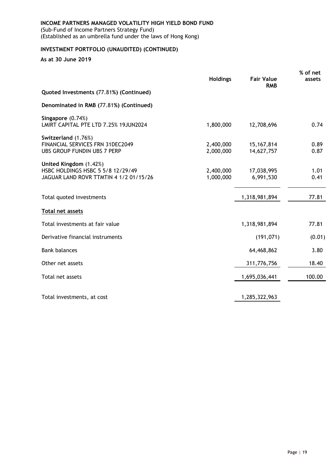(Sub-Fund of Income Partners Strategy Fund) (Established as an umbrella fund under the laws of Hong Kong)

# **INVESTMENT PORTFOLIO (UNAUDITED) (CONTINUED)**

<span id="page-22-0"></span>

|                                                                                                       |                        |                                 | % of net     |
|-------------------------------------------------------------------------------------------------------|------------------------|---------------------------------|--------------|
|                                                                                                       | <b>Holdings</b>        | <b>Fair Value</b><br><b>RMB</b> | assets       |
| Quoted Investments (77.81%) (Continued)                                                               |                        |                                 |              |
| Denominated in RMB (77.81%) (Continued)                                                               |                        |                                 |              |
| Singapore (0.74%)<br>LMIRT CAPITAL PTE LTD 7.25% 19JUN2024                                            | 1,800,000              | 12,708,696                      | 0.74         |
| Switzerland (1.76%)<br>FINANCIAL SERVICES FRN 31DEC2049<br>UBS GROUP FUNDIN UBS 7 PERP                | 2,400,000<br>2,000,000 | 15, 167, 814<br>14,627,757      | 0.89<br>0.87 |
| United Kingdom (1.42%)<br>HSBC HOLDINGS HSBC 5 5/8 12/29/49<br>JAGUAR LAND ROVR TTMTIN 4 1/2 01/15/26 | 2,400,000<br>1,000,000 | 17,038,995<br>6,991,530         | 1.01<br>0.41 |
| Total quoted investments                                                                              |                        | 1,318,981,894                   | 77.81        |
| Total net assets                                                                                      |                        |                                 |              |
| Total investments at fair value                                                                       |                        | 1,318,981,894                   | 77.81        |
| Derivative financial instruments                                                                      |                        | (191, 071)                      | (0.01)       |
| <b>Bank balances</b>                                                                                  |                        | 64,468,862                      | 3.80         |
| Other net assets                                                                                      |                        | 311,776,756                     | 18.40        |
| Total net assets                                                                                      |                        | 1,695,036,441                   | 100.00       |
| Total investments, at cost                                                                            |                        | 1,285,322,963                   |              |
|                                                                                                       |                        |                                 |              |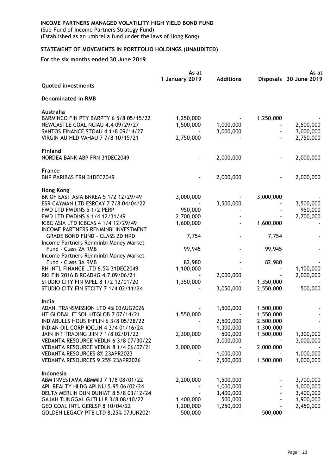(Sub-Fund of Income Partners Strategy Fund) (Established as an umbrella fund under the laws of Hong Kong)

# **STATEMENT OF MOVEMENTS IN PORTFOLIO HOLDINGS (UNAUDITED)**

|                                                                                | As at          |                        |                        | As at                  |
|--------------------------------------------------------------------------------|----------------|------------------------|------------------------|------------------------|
| <b>Quoted investments</b>                                                      | 1 January 2019 | <b>Additions</b>       |                        | Disposals 30 June 2019 |
| <b>Denominated in RMB</b>                                                      |                |                        |                        |                        |
| <b>Australia</b>                                                               |                |                        |                        |                        |
| BARMINCO FIN PTY BARPTY 6 5/8 05/15/22                                         | 1,250,000      |                        | 1,250,000              |                        |
| NEWCASTLE COAL NCIAU 4.4 09/29/27                                              | 1,500,000      | 1,000,000              |                        | 2,500,000              |
| SANTOS FINANCE STOAU 4 1/8 09/14/27<br>VIRGIN AU HLD VAHAU 7 7/8 10/15/21      | 2,750,000      | 3,000,000              |                        | 3,000,000<br>2,750,000 |
|                                                                                |                |                        |                        |                        |
| <b>Finland</b><br>NORDEA BANK ABP FRN 31DEC2049                                |                | 2,000,000              |                        | 2,000,000              |
|                                                                                |                |                        |                        |                        |
| <b>France</b><br><b>BNP PARIBAS FRN 31DEC2049</b>                              |                | 2,000,000              |                        | 2,000,000              |
|                                                                                |                |                        |                        |                        |
| <b>Hong Kong</b>                                                               |                |                        |                        |                        |
| BK OF EAST ASIA BNKEA 5 1/2 12/29/49<br>ESR CAYMAN LTD ESRCAY 7 7/8 04/04/22   | 3,000,000      |                        | 3,000,000              |                        |
| FWD LTD FWDINS 5 1/2 PERP                                                      | 950,000        | 3,500,000              |                        | 3,500,000<br>950,000   |
| FWD LTD FWDINS 6 1/4 12/31/49                                                  | 2,700,000      |                        |                        | 2,700,000              |
| ICBC ASIA LTD ICBCAS 4 1/4 12/29/49                                            | 1,600,000      |                        | 1,600,000              |                        |
| INCOME PARTNERS RENMINBI INVESTMENT                                            |                |                        |                        |                        |
| <b>GRADE BOND FUND - CLASS 2D HKD</b>                                          | 7,754          |                        | 7,754                  |                        |
| Income Partners Renminbi Money Market                                          |                |                        |                        |                        |
| Fund - Class 2A RMB                                                            | 99,945         |                        | 99,945                 |                        |
| Income Partners Renminbi Money Market                                          |                |                        |                        |                        |
| Fund - Class 3A RMB                                                            | 82,980         |                        | 82,980                 |                        |
| RH INTL FINANCE LTD 6.5% 31DEC2049                                             | 1,100,000      |                        |                        | 1,100,000              |
| RKI FIN 2016 B ROADKG 4.7 09/06/21                                             |                | 2,000,000              |                        | 2,000,000              |
| STUDIO CITY FIN MPEL 8 1/2 12/01/20<br>STUDIO CITY FIN STCITY 7 1/4 02/11/24   | 1,350,000      |                        | 1,350,000<br>2,550,000 | 500,000                |
|                                                                                |                | 3,050,000              |                        |                        |
| India                                                                          |                |                        |                        |                        |
| ADANI TRANSMISSION LTD 4% 03AUG2026                                            |                | 1,500,000              | 1,500,000              |                        |
| HT GLOBAL IT SOL HTGLOB 7 07/14/21                                             | 1,550,000      |                        | 1,550,000              |                        |
| INDIABULLS HOUS IHFLIN 6 3/8 05/28/22<br>INDIAN OIL CORP IOCLIN 4 3/4 01/16/24 |                | 2,500,000<br>1,300,000 | 2,500,000<br>1,300,000 |                        |
| JAIN INT TRADING JIIN 7 1/8 02/01/22                                           | 2,300,000      | 500,000                | 1,500,000              | 1,300,000              |
| VEDANTA RESOURCE VEDLN 6 3/8 07/30/22                                          |                | 3,000,000              |                        | 3,000,000              |
| VEDANTA RESOURCE VEDLN 8 1/4 06/07/21                                          | 2,000,000      |                        | 2,000,000              |                        |
| VEDANTA RESOURCES 8% 23APR2023                                                 |                | 1,000,000              |                        | 1,000,000              |
| VEDANTA RESOURCES 9.25% 23APR2026                                              |                | 2,500,000              | 1,500,000              | 1,000,000              |
| Indonesia                                                                      |                |                        |                        |                        |
| ABM INVESTAMA ABMMIJ 7 1/8 08/01/22                                            | 2,200,000      | 1,500,000              |                        | 3,700,000              |
| APL REALTY HLDG APLNIJ 5.95 06/02/24                                           |                | 1,000,000              |                        | 1,000,000              |
| DELTA MERLIN DUN DUNIAT 8 5/8 03/12/24                                         |                | 3,400,000              |                        | 3,400,000              |
| GAJAH TUNGGAL GJTLIJ 8 3/8 08/10/22                                            | 1,400,000      | 500,000                |                        | 1,900,000              |
| GEO COAL INTL GERLSP 8 10/04/22                                                | 1,200,000      | 1,250,000              |                        | 2,450,000              |
| GOLDEN LEGACY PTE LTD 8.25% 07JUN2021                                          | 500,000        |                        | 500,000                |                        |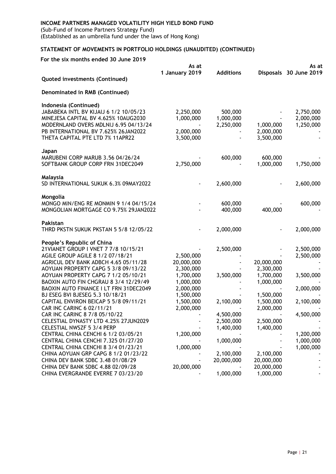(Sub-Fund of Income Partners Strategy Fund) (Established as an umbrella fund under the laws of Hong Kong)

# **STATEMENT OF MOVEMENTS IN PORTFOLIO HOLDINGS (UNAUDITED) (CONTINUED)**

|                                                                            | As at                  |                  | As at                  |                        |
|----------------------------------------------------------------------------|------------------------|------------------|------------------------|------------------------|
|                                                                            | 1 January 2019         | <b>Additions</b> |                        | Disposals 30 June 2019 |
| Quoted investments (Continued)                                             |                        |                  |                        |                        |
| Denominated in RMB (Continued)                                             |                        |                  |                        |                        |
| Indonesia (Continued)                                                      |                        |                  |                        |                        |
| JABABEKA INTL BV KIJAIJ 6 1/2 10/05/23                                     | 2,250,000              | 500,000          |                        | 2,750,000              |
| MINEJESA CAPITAL BV 4.625% 10AUG2030                                       | 1,000,000              | 1,000,000        |                        | 2,000,000              |
| MODERNLAND OVERS MDLNIJ 6.95 04/13/24                                      |                        | 2,250,000        | 1,000,000              | 1,250,000              |
| PB INTERNATIONAL BV 7.625% 26JAN2022                                       | 2,000,000              |                  | 2,000,000              |                        |
| THETA CAPITAL PTE LTD 7% 11APR22                                           | 3,500,000              |                  | 3,500,000              |                        |
| Japan                                                                      |                        |                  |                        |                        |
| MARUBENI CORP MARUB 3.56 04/26/24                                          |                        | 600,000          | 600,000                |                        |
| SOFTBANK GROUP CORP FRN 31DEC2049                                          | 2,750,000              |                  | 1,000,000              | 1,750,000              |
| Malaysia                                                                   |                        |                  |                        |                        |
| SD INTERNATIONAL SUKUK 6.3% 09MAY2022                                      |                        | 2,600,000        |                        | 2,600,000              |
| Mongolia                                                                   |                        |                  |                        |                        |
| MONGO MIN/ENG RE MONMIN 9 1/4 04/15/24                                     |                        | 600,000          |                        | 600,000                |
| MONGOLIAN MORTGAGE CO 9.75% 29JAN2022                                      |                        | 400,000          | 400,000                |                        |
| Pakistan                                                                   |                        |                  |                        |                        |
| THRD PKSTN SUKUK PKSTAN 5 5/8 12/05/22                                     |                        | 2,000,000        |                        | 2,000,000              |
| People's Republic of China                                                 |                        |                  |                        |                        |
| 21VIANET GROUP I VNET 7 7/8 10/15/21                                       |                        | 2,500,000        |                        | 2,500,000              |
| AGILE GROUP AGILE 8 1/2 07/18/21                                           | 2,500,000              |                  |                        | 2,500,000              |
| AGRICUL DEV BANK ADBCH 4.65 05/11/28                                       | 20,000,000             |                  | 20,000,000             |                        |
| AOYUAN PROPERTY CAPG 5 3/8 09/13/22<br>AOYUAN PROPERTY CAPG 7 1/2 05/10/21 | 2,300,000              |                  | 2,300,000              |                        |
| BAOXIN AUTO FIN CHGRAU 8 3/4 12/29/49                                      | 1,700,000<br>1,000,000 | 3,500,000        | 1,700,000<br>1,000,000 | 3,500,000              |
| BAOXIN AUTO FINANCE I LT FRN 31DEC2049                                     | 2,000,000              |                  |                        | 2,000,000              |
| BJ ESEG BVI BJESEG 5.3 10/18/21                                            | 1,500,000              |                  | 1,500,000              |                        |
| CAPITAL ENVIRON BEICAP 5 5/8 09/11/21                                      | 1,500,000              | 2,100,000        | 1,500,000              | 2,100,000              |
| CAR INC CARINC 6 02/11/21                                                  | 2,000,000              |                  | 2,000,000              |                        |
| CAR INC CARINC 8 7/8 05/10/22                                              |                        | 4,500,000        |                        | 4,500,000              |
| CELESTIAL DYNASTY LTD 4.25% 27JUN2029                                      |                        | 2,500,000        | 2,500,000              |                        |
| <b>CELESTIAL NWSZF 5 3/4 PERP</b>                                          |                        | 1,400,000        | 1,400,000              |                        |
| CENTRAL CHINA CENCHI 6 1/2 03/05/21                                        | 1,200,000              |                  |                        | 1,200,000              |
| CENTRAL CHINA CENCHI 7.325 01/27/20                                        |                        | 1,000,000        |                        | 1,000,000              |
| CENTRAL CHINA CENCHI 8 3/4 01/23/21                                        | 1,000,000              |                  |                        | 1,000,000              |
| CHINA AOYUAN GRP CAPG 8 1/2 01/23/22                                       |                        | 2,100,000        | 2,100,000              |                        |
| CHINA DEV BANK SDBC 3.48 01/08/29                                          |                        | 20,000,000       | 20,000,000             |                        |
| CHINA DEV BANK SDBC 4.88 02/09/28                                          | 20,000,000             |                  | 20,000,000             |                        |
| CHINA EVERGRANDE EVERRE 7 03/23/20                                         |                        | 1,000,000        | 1,000,000              |                        |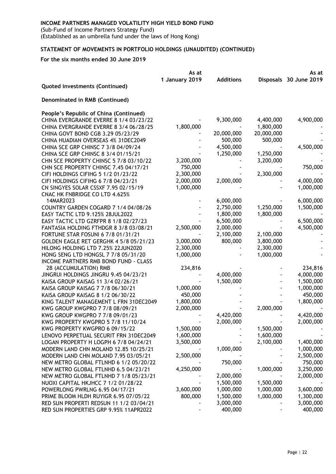(Sub-Fund of Income Partners Strategy Fund) (Established as an umbrella fund under the laws of Hong Kong)

# **STATEMENT OF MOVEMENTS IN PORTFOLIO HOLDINGS (UNAUDITED) (CONTINUED)**

|                                              | As at          |                  |            | As at                  |
|----------------------------------------------|----------------|------------------|------------|------------------------|
|                                              | 1 January 2019 | <b>Additions</b> |            | Disposals 30 June 2019 |
| Quoted investments (Continued)               |                |                  |            |                        |
| Denominated in RMB (Continued)               |                |                  |            |                        |
| People's Republic of China (Continued)       |                |                  |            |                        |
| CHINA EVERGRANDE EVERRE 8 1/4 03/23/22       |                | 9,300,000        | 4,400,000  | 4,900,000              |
| CHINA EVERGRANDE EVERRE 8 3/4 06/28/25       | 1,800,000      |                  | 1,800,000  |                        |
| CHINA GOVT BOND CGB 3.29 05/23/29            |                | 20,000,000       | 20,000,000 |                        |
| CHINA HUADIAN OVERSEAS 4% 31DEC2049          |                | 500,000          | 500,000    |                        |
| CHINA SCE GRP CHINSC 7 3/8 04/09/24          |                | 4,500,000        |            | 4,500,000              |
| CHINA SCE GRP CHINSC 8 3/4 01/15/21          |                | 1,250,000        | 1,250,000  |                        |
| CHN SCE PROPERTY CHINSC 5 7/8 03/10/22       | 3,200,000      |                  | 3,200,000  |                        |
| CHN SCE PROPERTY CHINSC 7.45 04/17/21        | 750,000        |                  |            | 750,000                |
| CIFI HOLDINGS CIFIHG 5 1/2 01/23/22          | 2,300,000      |                  | 2,300,000  |                        |
| CIFI HOLDINGS CIFIHG 6 7/8 04/23/21          | 2,000,000      | 2,000,000        |            | 4,000,000              |
| CN SINGYES SOLAR CSSXF 7.95 02/15/19         | 1,000,000      |                  |            | 1,000,000              |
| CNAC HK FNBRIDGE CO LTD 4.625%               |                |                  |            |                        |
| 14MAR2023                                    |                | 6,000,000        |            | 6,000,000              |
| COUNTRY GARDEN COGARD 7 1/4 04/08/26         |                | 2,750,000        | 1,250,000  | 1,500,000              |
| EASY TACTIC LTD 9.125% 28JUL2022             |                | 1,800,000        | 1,800,000  |                        |
| EASY TACTIC LTD GZRFPR 8 1/8 02/27/23        |                | 6,500,000        |            | 6,500,000              |
| FANTASIA HOLDING FTHDGR 8 3/8 03/08/21       | 2,500,000      | 2,000,000        |            | 4,500,000              |
| FORTUNE STAR FOSUNI 6 7/8 01/31/21           |                | 2,100,000        | 2,100,000  |                        |
| GOLDEN EAGLE RET GERGHK 4 5/8 05/21/23       | 3,000,000      | 800,000          | 3,800,000  |                        |
| HILONG HOLDING LTD 7.25% 22JUN2020           | 2,300,000      |                  | 2,300,000  |                        |
| HONG SENG LTD HONGSL 7 7/8 05/31/20          | 1,000,000      |                  | 1,000,000  |                        |
| <b>INCOME PARTNERS RMB BOND FUND - CLASS</b> |                |                  |            |                        |
| 2B (ACCUMULATION) RMB                        | 234,816        |                  |            | 234,816                |
| JINGRUI HOLDINGS JINGRU 9.45 04/23/21        |                | 4,000,000        |            | 4,000,000              |
| KAISA GROUP KAISAG 11 3/4 02/26/21           |                | 1,500,000        |            | 1,500,000              |
| KAISA GROUP KAISAG 7 7/8 06/30/21            | 1,000,000      |                  |            | 1,000,000              |
| KAISA GROUP KAISAG 8 1/2 06/30/22            | 450,000        |                  |            | 450,000                |
| KING TALENT MANAGEMENT L FRN 31DEC2049       | 1,800,000      |                  |            | 1,800,000              |
| KWG GROUP KWGPRO 7 7/8 08/09/21              | 2,000,000      |                  | 2,000,000  |                        |
| KWG GROUP KWGPRO 7 7/8 09/01/23              |                | 4,420,000        |            | 4,420,000              |
| KWG PROPERTY KWGPRO 5 7/8 11/10/24           |                | 2,000,000        |            | 2,000,000              |
| KWG PROPERTY KWGPRO 6 09/15/22               | 1,500,000      |                  | 1,500,000  |                        |
| LENOVO PERPETUAL SECURIT FRN 31DEC2049       | 1,600,000      |                  | 1,600,000  |                        |
| LOGAN PROPERTY H LOGPH 6 7/8 04/24/21        | 3,500,000      |                  | 2,100,000  | 1,400,000              |
| MODERN LAND CHN MOLAND 12.85 10/25/21        |                | 1,000,000        |            | 1,000,000              |
| MODERN LAND CHN MOLAND 7.95 03/05/21         | 2,500,000      |                  |            | 2,500,000              |
| NEW METRO GLOBAL FTLNHD 6 1/2 05/20/22       |                | 750,000          |            | 750,000                |
| NEW METRO GLOBAL FTLNHD 6.5 04/23/21         | 4,250,000      |                  | 1,000,000  | 3,250,000              |
| NEW METRO GLOBAL FTLNHD 7 1/8 05/23/21       |                | 2,000,000        |            | 2,000,000              |
| NUOXI CAPITAL HKJHCC 7 1/2 01/28/22          |                | 1,500,000        | 1,500,000  |                        |
| POWERLONG PWRLNG 6.95 04/17/21               | 3,600,000      | 1,000,000        | 1,000,000  | 3,600,000              |
| PRIME BLOOM HLDH RUYIGR 6.95 07/05/22        | 800,000        | 1,500,000        | 1,000,000  | 1,300,000              |
| RED SUN PROPERTI REDSUN 11 1/2 03/04/21      |                | 3,000,000        |            | 3,000,000              |
| RED SUN PROPERTIES GRP 9.95% 11APR2022       |                | 400,000          |            | 400,000                |